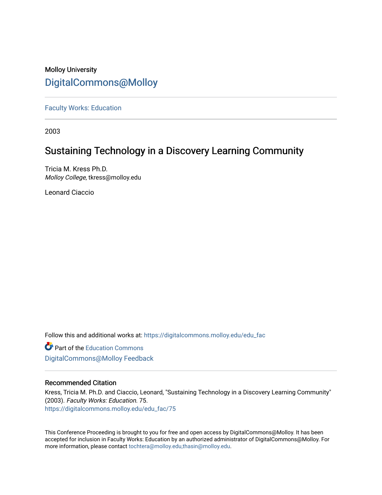# Molloy University [DigitalCommons@Molloy](https://digitalcommons.molloy.edu/)

[Faculty Works: Education](https://digitalcommons.molloy.edu/edu_fac) 

2003

# Sustaining Technology in a Discovery Learning Community

Tricia M. Kress Ph.D. Molloy College, tkress@molloy.edu

Leonard Ciaccio

Follow this and additional works at: [https://digitalcommons.molloy.edu/edu\\_fac](https://digitalcommons.molloy.edu/edu_fac?utm_source=digitalcommons.molloy.edu%2Fedu_fac%2F75&utm_medium=PDF&utm_campaign=PDFCoverPages)

**Part of the [Education Commons](https://network.bepress.com/hgg/discipline/784?utm_source=digitalcommons.molloy.edu%2Fedu_fac%2F75&utm_medium=PDF&utm_campaign=PDFCoverPages)** [DigitalCommons@Molloy Feedback](https://molloy.libwizard.com/f/dcfeedback)

## Recommended Citation

Kress, Tricia M. Ph.D. and Ciaccio, Leonard, "Sustaining Technology in a Discovery Learning Community" (2003). Faculty Works: Education. 75. [https://digitalcommons.molloy.edu/edu\\_fac/75](https://digitalcommons.molloy.edu/edu_fac/75?utm_source=digitalcommons.molloy.edu%2Fedu_fac%2F75&utm_medium=PDF&utm_campaign=PDFCoverPages) 

This Conference Proceeding is brought to you for free and open access by DigitalCommons@Molloy. It has been accepted for inclusion in Faculty Works: Education by an authorized administrator of DigitalCommons@Molloy. For more information, please contact [tochtera@molloy.edu,thasin@molloy.edu.](mailto:tochtera@molloy.edu,thasin@molloy.edu)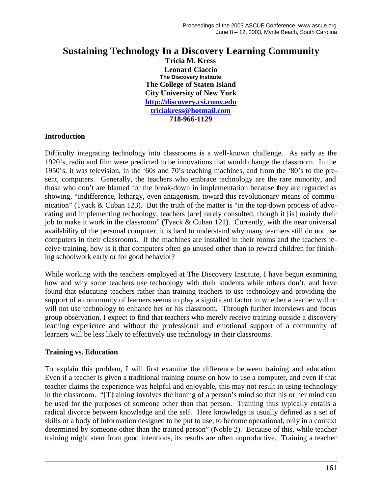## **Sustaining Technology In a Discovery Learning Community**

**Tricia M. Kress Leonard Ciaccio The Discovery Institute The College of Staten Island City University of New York http://discovery.csi.cuny.edu triciakress@hotmail.com 718-966-1129**

#### **Introduction**

Difficulty integrating technology into classrooms is a well-known challenge. As early as the 1920's, radio and film were predicted to be innovations that would change the classroom. In the 1950's, it was television, in the '60s and 70's teaching machines, and from the '80's to the present, computers. Generally, the teachers who embrace technology are the rare minority, and those who don't are blamed for the break-down in implementation because they are regarded as showing, "indifference, lethargy, even antagonism, toward this revolutionary means of communication" (Tyack & Cuban 123). But the truth of the matter is "in the top-down process of advocating and implementing technology, teachers [are] rarely consulted, though it [is] mainly their job to make it work in the classroom" (Tyack & Cuban 121). Currently, with the near universal availability of the personal computer, it is hard to understand why many teachers still do not use computers in their classrooms. If the machines are installed in their rooms and the teachers receive training, how is it that computers often go unused other than to reward children for finishing schoolwork early or for good behavior?

While working with the teachers employed at The Discovery Institute, I have begun examining how and why some teachers use technology with their students while others don't, and have found that educating teachers rather than training teachers to use technology and providing the support of a community of learners seems to play a significant factor in whether a teacher will or will not use technology to enhance her or his classroom. Through further interviews and focus group observation, I expect to find that teachers who merely receive training outside a discovery learning experience and without the professional and emotional support of a community of learners will be less likely to effectively use technology in their classrooms.

#### **Training vs. Education**

To explain this problem, I will first examine the difference between training and education. Even if a teacher is given a traditional training course on how to use a computer, and even if that teacher claims the experience was helpful and enjoyable, this may not result in using technology in the classroom. "[T]raining involves the honing of a person's mind so that his or her mind can be used for the purposes of someone other than that person. Training thus typically entails a radical divorce between knowledge and the self. Here knowledge is usually defined as a set of skills or a body of information designed to be put to use, to become operational, only in a context determined by someone other than the trained person" (Noble 2). Because of this, while teacher training might stem from good intentions, its results are often unproductive. Training a teacher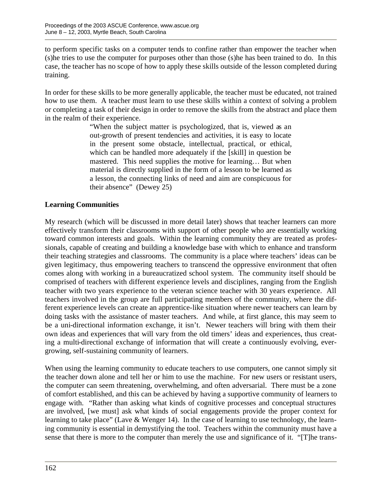to perform specific tasks on a computer tends to confine rather than empower the teacher when (s)he tries to use the computer for purposes other than those (s)he has been trained to do. In this case, the teacher has no scope of how to apply these skills outside of the lesson completed during training.

In order for these skills to be more generally applicable, the teacher must be educated, not trained how to use them. A teacher must learn to use these skills within a context of solving a problem or completing a task of their design in order to remove the skills from the abstract and place them in the realm of their experience.

> "When the subject matter is psychologized, that is, viewed as an out-growth of present tendencies and activities, it is easy to locate in the present some obstacle, intellectual, practical, or ethical, which can be handled more adequately if the [skill] in question be mastered. This need supplies the motive for learning… But when material is directly supplied in the form of a lesson to be learned as a lesson, the connecting links of need and aim are conspicuous for their absence" (Dewey 25)

## **Learning Communities**

My research (which will be discussed in more detail later) shows that teacher learners can more effectively transform their classrooms with support of other people who are essentially working toward common interests and goals. Within the learning community they are treated as professionals, capable of creating and building a knowledge base with which to enhance and transform their teaching strategies and classrooms. The community is a place where teachers' ideas can be given legitimacy, thus empowering teachers to transcend the oppressive environment that often comes along with working in a bureaucratized school system. The community itself should be comprised of teachers with different experience levels and disciplines, ranging from the English teacher with two years experience to the veteran science teacher with 30 years experience. All teachers involved in the group are full participating members of the community, where the different experience levels can create an apprentice-like situation where newer teachers can learn by doing tasks with the assistance of master teachers. And while, at first glance, this may seem to be a uni-directional information exchange, it isn't. Newer teachers will bring with them their own ideas and experiences that will vary from the old timers' ideas and experiences, thus creating a multi-directional exchange of information that will create a continuously evolving, evergrowing, self-sustaining community of learners.

When using the learning community to educate teachers to use computers, one cannot simply sit the teacher down alone and tell her or him to use the machine. For new users or resistant users, the computer can seem threatening, overwhelming, and often adversarial. There must be a zone of comfort established, and this can be achieved by having a supportive community of learners to engage with. "Rather than asking what kinds of cognitive processes and conceptual structures are involved, [we must] ask what kinds of social engagements provide the proper context for learning to take place" (Lave & Wenger 14). In the case of learning to use technology, the learning community is essential in demystifying the tool. Teachers within the community must have a sense that there is more to the computer than merely the use and significance of it. "[T]he trans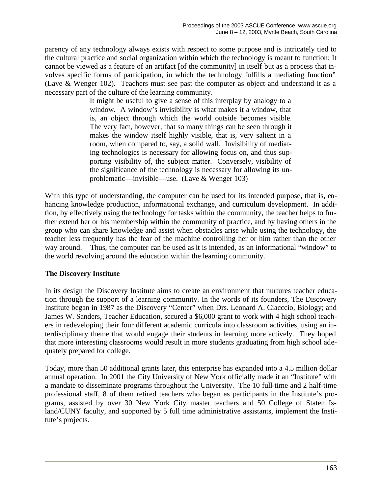parency of any technology always exists with respect to some purpose and is intricately tied to the cultural practice and social organization within which the technology is meant to function: It cannot be viewed as a feature of an artifact [of the community] in itself but as a process that involves specific forms of participation, in which the technology fulfills a mediating function" (Lave & Wenger 102). Teachers must see past the computer as object and understand it as a necessary part of the culture of the learning community.

> It might be useful to give a sense of this interplay by analogy to a window. A window's invisibility is what makes it a window, that is, an object through which the world outside becomes visible. The very fact, however, that so many things can be seen through it makes the window itself highly visible, that is, very salient in a room, when compared to, say, a solid wall. Invisibility of mediating technologies is necessary for allowing focus on, and thus supporting visibility of, the subject matter. Conversely, visibility of the significance of the technology is necessary for allowing its unproblematic—invisible—use. (Lave & Wenger 103)

With this type of understanding, the computer can be used for its intended purpose, that is, enhancing knowledge production, informational exchange, and curriculum development. In addition, by effectively using the technology for tasks within the community, the teacher helps to further extend her or his membership within the community of practice, and by having others in the group who can share knowledge and assist when obstacles arise while using the technology, the teacher less frequently has the fear of the machine controlling her or him rather than the other way around. Thus, the computer can be used as it is intended, as an informational "window" to the world revolving around the education within the learning community.

### **The Discovery Institute**

In its design the Discovery Institute aims to create an environment that nurtures teacher education through the support of a learning community. In the words of its founders, The Discovery Institute began in 1987 as the Discovery "Center" when Drs. Leonard A. Ciacccio, Biology; and James W. Sanders, Teacher Education, secured a \$6,000 grant to work with 4 high school teachers in redeveloping their four different academic curricula into classroom activities, using an interdisciplinary theme that would engage their students in learning more actively. They hoped that more interesting classrooms would result in more students graduating from high school adequately prepared for college.

Today, more than 50 additional grants later, this enterprise has expanded into a 4.5 million dollar annual operation. In 2001 the City University of New York officially made it an "Institute" with a mandate to disseminate programs throughout the University. The 10 full-time and 2 half-time professional staff, 8 of them retired teachers who began as participants in the Institute's programs, assisted by over 30 New York City master teachers and 50 College of Staten Island/CUNY faculty, and supported by 5 full time administrative assistants, implement the Institute's projects.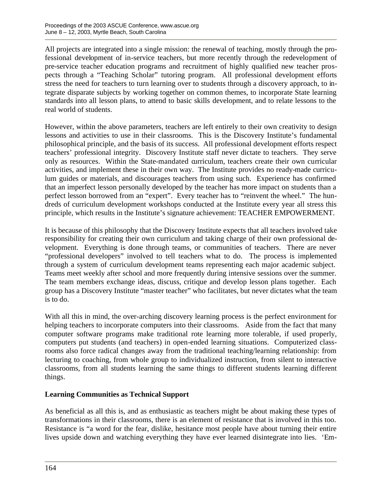All projects are integrated into a single mission: the renewal of teaching, mostly through the professional development of in-service teachers, but more recently through the redevelopment of pre-service teacher education programs and recruitment of highly qualified new teacher prospects through a "Teaching Scholar" tutoring program. All professional development efforts stress the need for teachers to turn learning over to students through a discovery approach, to integrate disparate subjects by working together on common themes, to incorporate State learning standards into all lesson plans, to attend to basic skills development, and to relate lessons to the real world of students.

However, within the above parameters, teachers are left entirely to their own creativity to design lessons and activities to use in their classrooms. This is the Discovery Institute's fundamental philosophical principle, and the basis of its success. All professional development efforts respect teachers' professional integrity. Discovery Institute staff never dictate to teachers. They serve only as resources. Within the State-mandated curriculum, teachers create their own curricular activities, and implement these in their own way. The Institute provides no ready-made curriculum guides or materials, and discourages teachers from using such. Experience has confirmed that an imperfect lesson personally developed by the teacher has more impact on students than a perfect lesson borrowed from an "expert". Every teacher has to "reinvent the wheel." The hundreds of curriculum development workshops conducted at the Institute every year all stress this principle, which results in the Institute's signature achievement: TEACHER EMPOWERMENT.

It is because of this philosophy that the Discovery Institute expects that all teachers involved take responsibility for creating their own curriculum and taking charge of their own professional development. Everything is done through teams, or communities of teachers. There are never "professional developers" involved to tell teachers what to do. The process is implemented through a system of curriculum development teams representing each major academic subject. Teams meet weekly after school and more frequently during intensive sessions over the summer. The team members exchange ideas, discuss, critique and develop lesson plans together. Each group has a Discovery Institute "master teacher" who facilitates, but never dictates what the team is to do.

With all this in mind, the over-arching discovery learning process is the perfect environment for helping teachers to incorporate computers into their classrooms. Aside from the fact that many computer software programs make traditional rote learning more tolerable, if used properly, computers put students (and teachers) in open-ended learning situations. Computerized classrooms also force radical changes away from the traditional teaching/learning relationship: from lecturing to coaching, from whole group to individualized instruction, from silent to interactive classrooms, from all students learning the same things to different students learning different things.

### **Learning Communities as Technical Support**

As beneficial as all this is, and as enthusiastic as teachers might be about making these types of transformations in their classrooms, there is an element of resistance that is involved in this too. Resistance is "a word for the fear, dislike, hesitance most people have about turning their entire lives upside down and watching everything they have ever learned disintegrate into lies. 'Em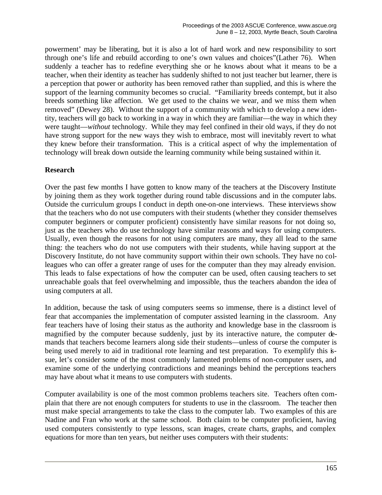powerment' may be liberating, but it is also a lot of hard work and new responsibility to sort through one's life and rebuild according to one's own values and choices"(Lather 76). When suddenly a teacher has to redefine everything she or he knows about what it means to be a teacher, when their identity as teacher has suddenly shifted to not just teacher but learner, there is a perception that power or authority has been removed rather than supplied, and this is where the support of the learning community becomes so crucial. "Familiarity breeds contempt, but it also breeds something like affection. We get used to the chains we wear, and we miss them when removed" (Dewey 28). Without the support of a community with which to develop a new identity, teachers will go back to working in a way in which they are familiar—the way in which they were taught—*without* technology. While they may feel confined in their old ways, if they do not have strong support for the new ways they wish to embrace, most will inevitably revert to what they knew before their transformation. This is a critical aspect of why the implementation of technology will break down outside the learning community while being sustained within it.

### **Research**

Over the past few months I have gotten to know many of the teachers at the Discovery Institute by joining them as they work together during round table discussions and in the computer labs. Outside the curriculum groups I conduct in depth one-on-one interviews. These interviews show that the teachers who do not use computers with their students (whether they consider themselves computer beginners or computer proficient) consistently have similar reasons for not doing so, just as the teachers who do use technology have similar reasons and ways for using computers. Usually, even though the reasons for not using computers are many, they all lead to the same thing: the teachers who do not use computers with their students, while having support at the Discovery Institute, do not have community support within their own schools. They have no colleagues who can offer a greater range of uses for the computer than they may already envision. This leads to false expectations of how the computer can be used, often causing teachers to set unreachable goals that feel overwhelming and impossible, thus the teachers abandon the idea of using computers at all.

In addition, because the task of using computers seems so immense, there is a distinct level of fear that accompanies the implementation of computer assisted learning in the classroom. Any fear teachers have of losing their status as the authority and knowledge base in the classroom is magnified by the computer because suddenly, just by its interactive nature, the computer demands that teachers become learners along side their students—unless of course the computer is being used merely to aid in traditional rote learning and test preparation. To exemplify this issue, let's consider some of the most commonly lamented problems of non-computer users, and examine some of the underlying contradictions and meanings behind the perceptions teachers may have about what it means to use computers with students.

Computer availability is one of the most common problems teachers site. Teachers often complain that there are not enough computers for students to use in the classroom. The teacher then must make special arrangements to take the class to the computer lab. Two examples of this are Nadine and Fran who work at the same school. Both claim to be computer proficient, having used computers consistently to type lessons, scan images, create charts, graphs, and complex equations for more than ten years, but neither uses computers with their students: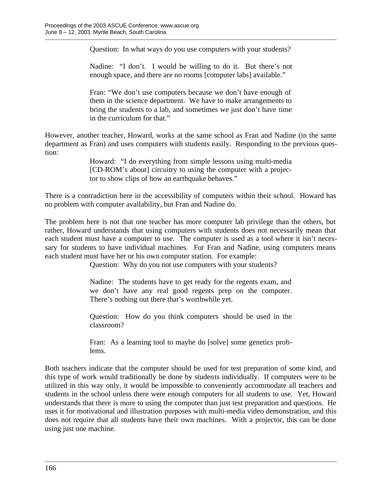Question: In what ways do you use computers with your students?

Nadine: "I don't. I would be willing to do it. But there's not enough space, and there are no rooms [computer labs] available."

Fran: "We don't use computers because we don't have enough of them in the science department. We have to make arrangements to bring the students to a lab, and sometimes we just don't have time in the curriculum for that."

However, another teacher, Howard, works at the same school as Fran and Nadine (in the same department as Fran) and uses computers with students easily. Responding to the previous question:

> Howard: "I do everything from simple lessons using multi-media [CD-ROM's about] circuitry to using the computer with a projector to show clips of how an earthquake behaves."

There is a contradiction here in the accessibility of computers within their school. Howard has no problem with computer availability, but Fran and Nadine do.

The problem here is not that one teacher has more computer lab privilege than the others, but rather, Howard understands that using computers with students does not necessarily mean that each student must have a computer to use. The computer is used as a tool where it isn't necessary for students to have individual machines. For Fran and Nadine, using computers means each student must have her or his own computer station. For example:

Question: Why do you not use computers with your students?

Nadine: The students have to get ready for the regents exam, and we don't have any real good regents prep on the computer. There's nothing out there that's worthwhile yet.

Question: How do you think computers should be used in the classroom?

Fran: As a learning tool to maybe do [solve] some genetics problems.

Both teachers indicate that the computer should be used for test preparation of some kind, and this type of work would traditionally be done by students individually. If computers were to be utilized in this way only, it would be impossible to conveniently accommodate all teachers and students in the school unless there were enough computers for all students to use. Yet, Howard understands that there is more to using the computer than just test preparation and questions. He uses it for motivational and illustration purposes with multi-media video demonstration, and this does not require that all students have their own machines. With a projector, this can be done using just one machine.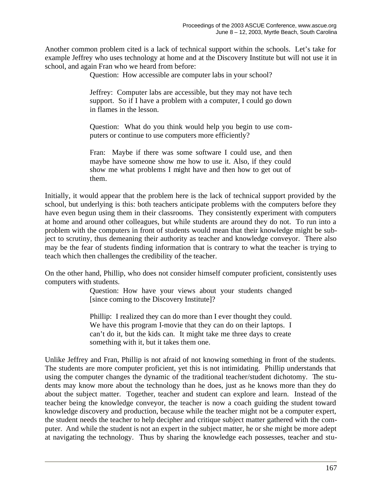Another common problem cited is a lack of technical support within the schools. Let's take for example Jeffrey who uses technology at home and at the Discovery Institute but will not use it in school, and again Fran who we heard from before:

Question: How accessible are computer labs in your school?

Jeffrey: Computer labs are accessible, but they may not have tech support. So if I have a problem with a computer, I could go down in flames in the lesson.

Question: What do you think would help you begin to use computers or continue to use computers more efficiently?

Fran: Maybe if there was some software I could use, and then maybe have someone show me how to use it. Also, if they could show me what problems I might have and then how to get out of them.

Initially, it would appear that the problem here is the lack of technical support provided by the school, but underlying is this: both teachers anticipate problems with the computers before they have even begun using them in their classrooms. They consistently experiment with computers at home and around other colleagues, but while students are around they do not. To run into a problem with the computers in front of students would mean that their knowledge might be subject to scrutiny, thus demeaning their authority as teacher and knowledge conveyor. There also may be the fear of students finding information that is contrary to what the teacher is trying to teach which then challenges the credibility of the teacher.

On the other hand, Phillip, who does not consider himself computer proficient, consistently uses computers with students.

> Question: How have your views about your students changed [since coming to the Discovery Institute]?

> Phillip: I realized they can do more than I ever thought they could. We have this program I-movie that they can do on their laptops. I can't do it, but the kids can. It might take me three days to create something with it, but it takes them one.

Unlike Jeffrey and Fran, Phillip is not afraid of not knowing something in front of the students. The students are more computer proficient, yet this is not intimidating. Phillip understands that using the computer changes the dynamic of the traditional teacher/student dichotomy. The students may know more about the technology than he does, just as he knows more than they do about the subject matter. Together, teacher and student can explore and learn. Instead of the teacher being the knowledge conveyor, the teacher is now a coach guiding the student toward knowledge discovery and production, because while the teacher might not be a computer expert, the student needs the teacher to help decipher and critique subject matter gathered with the computer. And while the student is not an expert in the subject matter, he or she might be more adept at navigating the technology. Thus by sharing the knowledge each possesses, teacher and stu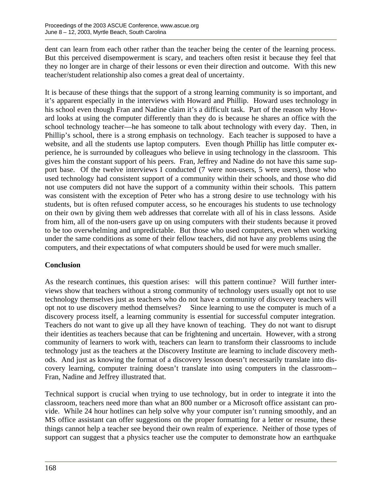dent can learn from each other rather than the teacher being the center of the learning process. But this perceived disempowerment is scary, and teachers often resist it because they feel that they no longer are in charge of their lessons or even their direction and outcome. With this new teacher/student relationship also comes a great deal of uncertainty.

It is because of these things that the support of a strong learning community is so important, and it's apparent especially in the interviews with Howard and Phillip. Howard uses technology in his school even though Fran and Nadine claim it's a difficult task. Part of the reason why Howard looks at using the computer differently than they do is because he shares an office with the school technology teacher—he has someone to talk about technology with every day. Then, in Phillip's school, there is a strong emphasis on technology. Each teacher is supposed to have a website, and all the students use laptop computers. Even though Phillip has little computer experience, he is surrounded by colleagues who believe in using technology in the classroom. This gives him the constant support of his peers. Fran, Jeffrey and Nadine do not have this same support base. Of the twelve interviews I conducted (7 were non-users, 5 were users), those who used technology had consistent support of a community within their schools, and those who did not use computers did not have the support of a community within their schools. This pattern was consistent with the exception of Peter who has a strong desire to use technology with his students, but is often refused computer access, so he encourages his students to use technology on their own by giving them web addresses that correlate with all of his in class lessons. Aside from him, all of the non-users gave up on using computers with their students because it proved to be too overwhelming and unpredictable. But those who used computers, even when working under the same conditions as some of their fellow teachers, did not have any problems using the computers, and their expectations of what computers should be used for were much smaller.

### **Conclusion**

As the research continues, this question arises: will this pattern continue? Will further interviews show that teachers without a strong community of technology users usually opt not to use technology themselves just as teachers who do not have a community of discovery teachers will opt not to use discovery method themselves? Since learning to use the computer is much of a discovery process itself, a learning community is essential for successful computer integration. Teachers do not want to give up all they have known of teaching. They do not want to disrupt their identities as teachers because that can be frightening and uncertain. However, with a strong community of learners to work with, teachers can learn to transform their classrooms to include technology just as the teachers at the Discovery Institute are learning to include discovery methods. And just as knowing the format of a discovery lesson doesn't necessarily translate into discovery learning, computer training doesn't translate into using computers in the classroom-- Fran, Nadine and Jeffrey illustrated that.

Technical support is crucial when trying to use technology, but in order to integrate it into the classroom, teachers need more than what an 800 number or a Microsoft office assistant can provide. While 24 hour hotlines can help solve why your computer isn't running smoothly, and an MS office assistant can offer suggestions on the proper formatting for a letter or resume, these things cannot help a teacher see beyond their own realm of experience. Neither of those types of support can suggest that a physics teacher use the computer to demonstrate how an earthquake